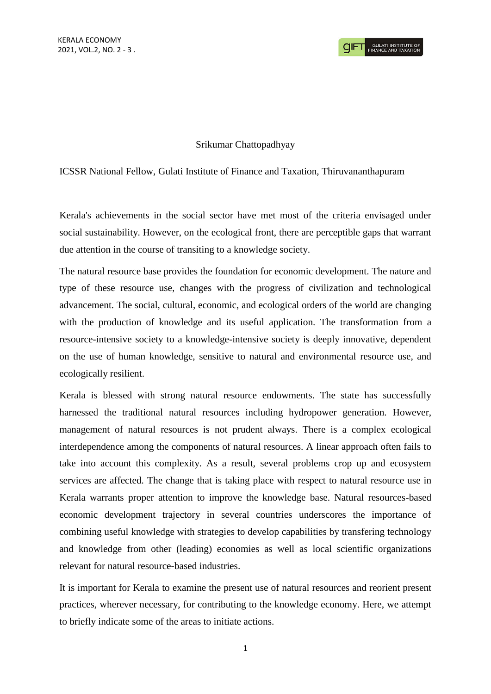# Srikumar Chattopadhyay

# ICSSR National Fellow, Gulati Institute of Finance and Taxation, Thiruvananthapuram

Kerala's achievements in the social sector have met most of the criteria envisaged under social sustainability. However, on the ecological front, there are perceptible gaps that warrant due attention in the course of transiting to a knowledge society.

The natural resource base provides the foundation for economic development. The nature and type of these resource use, changes with the progress of civilization and technological advancement. The social, cultural, economic, and ecological orders of the world are changing with the production of knowledge and its useful application. The transformation from a resource-intensive society to a knowledge-intensive society is deeply innovative, dependent on the use of human knowledge, sensitive to natural and environmental resource use, and ecologically resilient.

Kerala is blessed with strong natural resource endowments. The state has successfully harnessed the traditional natural resources including hydropower generation. However, management of natural resources is not prudent always. There is a complex ecological interdependence among the components of natural resources. A linear approach often fails to take into account this complexity. As a result, several problems crop up and ecosystem services are affected. The change that is taking place with respect to natural resource use in Kerala warrants proper attention to improve the knowledge base. Natural resources-based economic development trajectory in several countries underscores the importance of combining useful knowledge with strategies to develop capabilities by transfering technology and knowledge from other (leading) economies as well as local scientific organizations relevant for natural resource-based industries.

It is important for Kerala to examine the present use of natural resources and reorient present practices, wherever necessary, for contributing to the knowledge economy. Here, we attempt to briefly indicate some of the areas to initiate actions.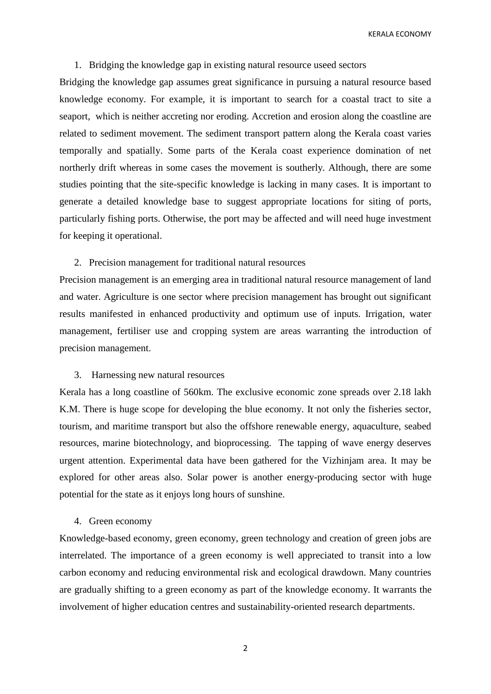KERALA ECONOMY

### 1. Bridging the knowledge gap in existing natural resource useed sectors

Bridging the knowledge gap assumes great significance in pursuing a natural resource based knowledge economy. For example, it is important to search for a coastal tract to site a seaport, which is neither accreting nor eroding. Accretion and erosion along the coastline are related to sediment movement. The sediment transport pattern along the Kerala coast varies temporally and spatially. Some parts of the Kerala coast experience domination of net northerly drift whereas in some cases the movement is southerly. Although, there are some studies pointing that the site-specific knowledge is lacking in many cases. It is important to generate a detailed knowledge base to suggest appropriate locations for siting of ports, particularly fishing ports. Otherwise, the port may be affected and will need huge investment for keeping it operational.

## 2. Precision management for traditional natural resources

Precision management is an emerging area in traditional natural resource management of land and water. Agriculture is one sector where precision management has brought out significant results manifested in enhanced productivity and optimum use of inputs. Irrigation, water management, fertiliser use and cropping system are areas warranting the introduction of precision management.

### 3. Harnessing new natural resources

Kerala has a long coastline of 560km. The exclusive economic zone spreads over 2.18 lakh K.M. There is huge scope for developing the blue economy. It not only the fisheries sector, tourism, and maritime transport but also the offshore renewable energy, aquaculture, seabed resources, marine biotechnology, and bioprocessing. The tapping of wave energy deserves urgent attention. Experimental data have been gathered for the Vizhinjam area. It may be explored for other areas also. Solar power is another energy-producing sector with huge potential for the state as it enjoys long hours of sunshine.

# 4. Green economy

Knowledge-based economy, green economy, green technology and creation of green jobs are interrelated. The importance of a green economy is well appreciated to transit into a low carbon economy and reducing environmental risk and ecological drawdown. Many countries are gradually shifting to a green economy as part of the knowledge economy. It warrants the involvement of higher education centres and sustainability-oriented research departments.

2